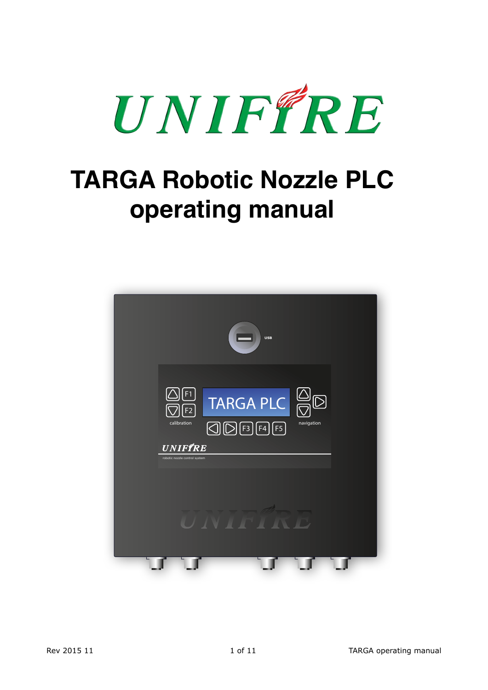

# **TARGA Robotic Nozzle PLC operating manual**

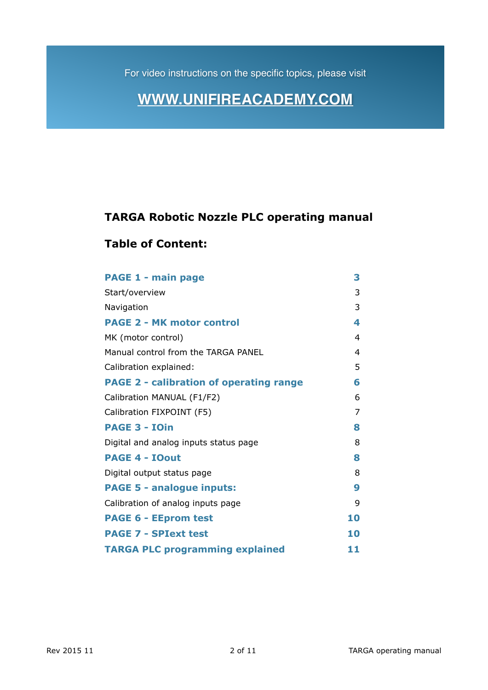For video instructions on the specific topics, please visit

# **[WWW.UNIFIREACADEMY.COM](http://WWW.UNIFIREACADEMY.COM)**

### **TARGA Robotic Nozzle PLC operating manual**

### **Table of Content:**

| <b>PAGE 1 - main page</b>                      | 3  |
|------------------------------------------------|----|
| Start/overview                                 | 3  |
| Navigation                                     | 3  |
| <b>PAGE 2 - MK motor control</b>               | 4  |
| MK (motor control)                             | 4  |
| Manual control from the TARGA PANEL            | 4  |
| Calibration explained:                         | 5  |
| <b>PAGE 2 - calibration of operating range</b> | 6  |
| Calibration MANUAL (F1/F2)                     | 6  |
| Calibration FIXPOINT (F5)                      | 7  |
| <b>PAGE 3 - IOin</b>                           | 8  |
| Digital and analog inputs status page          | 8  |
| <b>PAGE 4 - IOout</b>                          | 8  |
| Digital output status page                     | 8  |
| <b>PAGE 5 - analogue inputs:</b>               | 9  |
| Calibration of analog inputs page              | 9  |
| <b>PAGE 6 - EEprom test</b>                    | 10 |
| <b>PAGE 7 - SPIext test</b>                    | 10 |
| <b>TARGA PLC programming explained</b>         | 11 |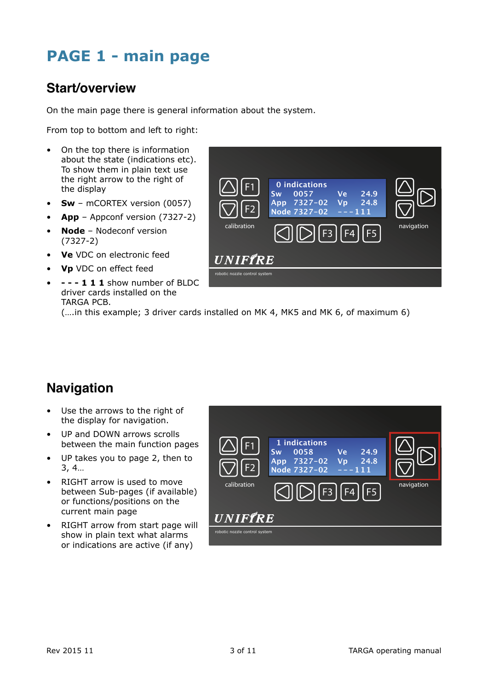# **PAGE 1 - main page**

### **Start/overview**

On the main page there is general information about the system.

From top to bottom and left to right:

- On the top there is information about the state (indications etc). To show them in plain text use the right arrow to the right of the display
- **Sw** mCORTEX version (0057)
- **App** Appconf version (7327-2)
- **Node**  Nodeconf version (7327-2)
- **Ve** VDC on electronic feed
- **Vp** VDC on effect feed
- **- 1 1 1** show number of BLDC driver cards installed on the TARGA PCB.



(….in this example; 3 driver cards installed on MK 4, MK5 and MK 6, of maximum 6)

### **Navigation**

- Use the arrows to the right of the display for navigation.
- UP and DOWN arrows scrolls between the main function pages
- UP takes you to page 2, then to 3, 4…
- RIGHT arrow is used to move between Sub-pages (if available) or functions/positions on the current main page
- RIGHT arrow from start page will show in plain text what alarms or indications are active (if any)

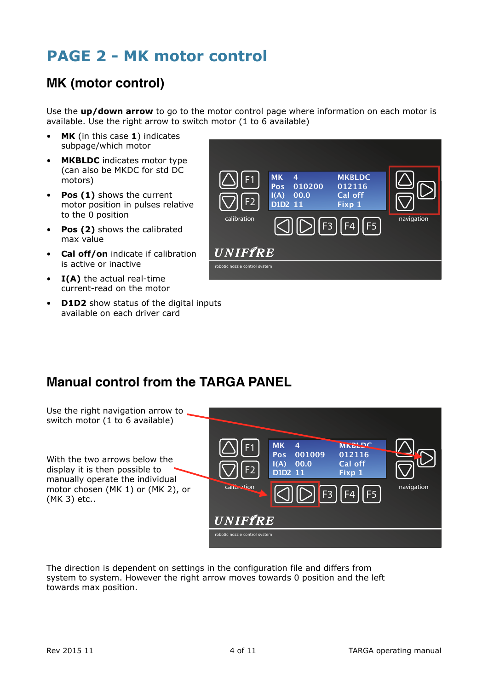# **PAGE 2 - MK motor control**

## **MK (motor control)**

Use the **up/down arrow** to go to the motor control page where information on each motor is available. Use the right arrow to switch motor (1 to 6 available)

- **MK** (in this case **1**) indicates subpage/which motor
- **MKBLDC** indicates motor type (can also be MKDC for std DC motors)
- **Pos (1)** shows the current motor position in pulses relative to the 0 position
- **Pos (2)** shows the calibrated max value
- **Cal off/on** indicate if calibration is active or inactive
- **I(A)** the actual real-time current-read on the motor
- **D1D2** show status of the digital inputs available on each driver card



### **Manual control from the TARGA PANEL**

Use the right navigation arrow to switch motor (1 to 6 available)

With the two arrows below the display it is then possible to manually operate the individual motor chosen (MK 1) or (MK 2), or (MK 3) etc..



The direction is dependent on settings in the configuration file and differs from system to system. However the right arrow moves towards 0 position and the left towards max position.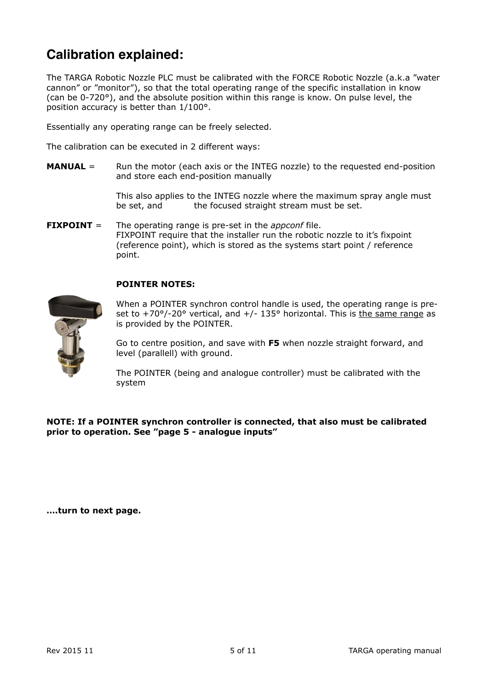### **Calibration explained:**

The TARGA Robotic Nozzle PLC must be calibrated with the FORCE Robotic Nozzle (a.k.a "water cannon" or "monitor"), so that the total operating range of the specific installation in know (can be 0-720°), and the absolute position within this range is know. On pulse level, the position accuracy is better than 1/100°.

Essentially any operating range can be freely selected.

The calibration can be executed in 2 different ways:

**MANUAL** = Run the motor (each axis or the INTEG nozzle) to the requested end-position and store each end-position manually

> This also applies to the INTEG nozzle where the maximum spray angle must be set, and the focused straight stream must be set. the focused straight stream must be set.

**FIXPOINT** = The operating range is pre-set in the *appconf* file. FIXPOINT require that the installer run the robotic nozzle to it's fixpoint (reference point), which is stored as the systems start point / reference point.

#### **POINTER NOTES:**



 When a POINTER synchron control handle is used, the operating range is pre set to  $+70^{\circ}/-20^{\circ}$  vertical, and  $+/-135^{\circ}$  horizontal. This is the same range as is provided by the POINTER.

 Go to centre position, and save with **F5** when nozzle straight forward, and level (parallell) with ground.

 The POINTER (being and analogue controller) must be calibrated with the system

**NOTE: If a POINTER synchron controller is connected, that also must be calibrated prior to operation. See "page 5 - analogue inputs"** 

**….turn to next page.**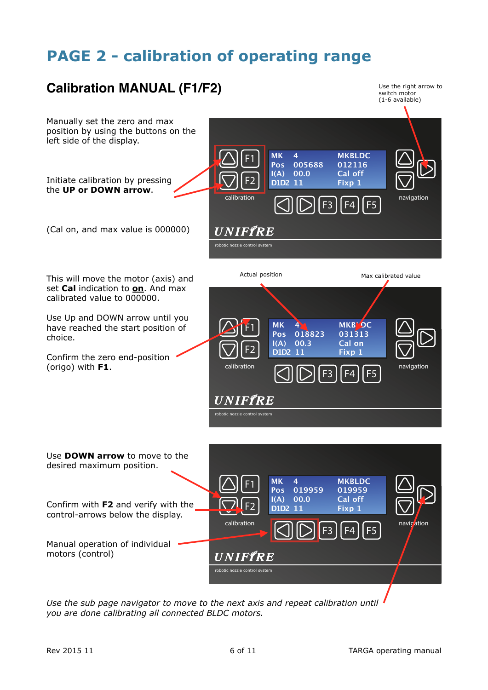# **PAGE 2 - calibration of operating range**



*Use the sub page navigator to move to the next axis and repeat calibration until you are done calibrating all connected BLDC motors.*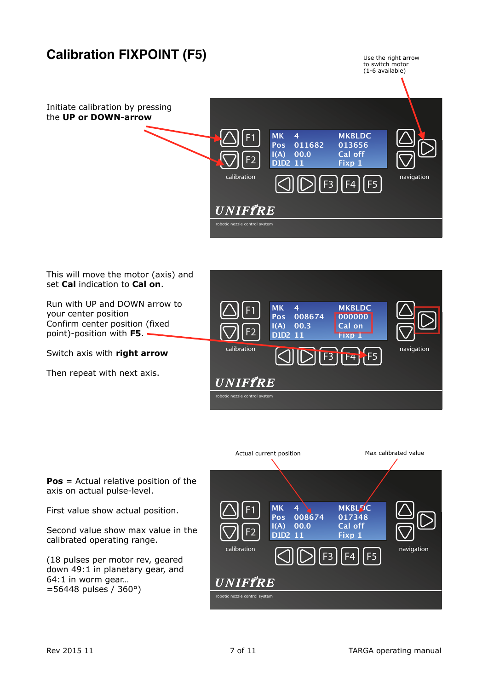

#### This will move the motor (axis) and set **Cal** indication to **Cal on**.

Run with UP and DOWN arrow to your center position Confirm center position (fixed point)-position with **F5**.

Switch axis with **right arrow** 

Then repeat with next axis.





**Pos** = Actual relative position of the axis on actual pulse-level.

First value show actual position.

Second value show max value in the calibrated operating range.

(18 pulses per motor rev, geared down 49:1 in planetary gear, and 64:1 in worm gear… =56448 pulses / 360°)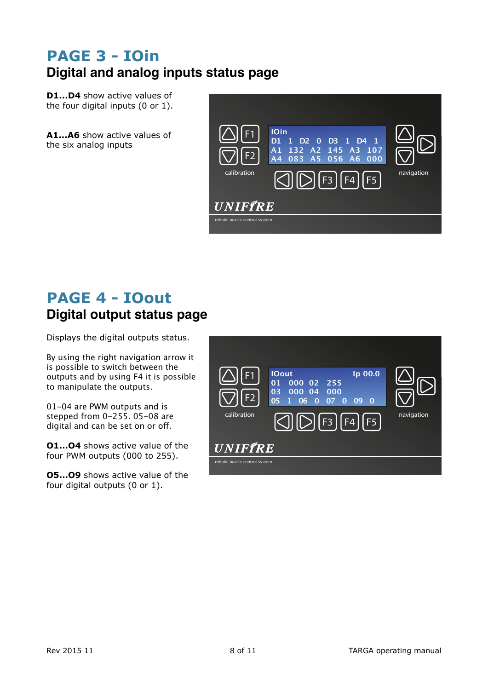# **PAGE 3 - IOin Digital and analog inputs status page**

**D1...D4** show active values of the four digital inputs (0 or 1).

**A1...A6** show active values of the six analog inputs



# **PAGE 4 - IOout Digital output status page**

Displays the digital outputs status.

By using the right navigation arrow it is possible to switch between the outputs and by using F4 it is possible to manipulate the outputs.

01-04 are PWM outputs and is stepped from 0-255. 05-08 are digital and can be set on or off.

**O1...O4** shows active value of the four PWM outputs (000 to 255).

**O5...O9** shows active value of the four digital outputs (0 or 1).

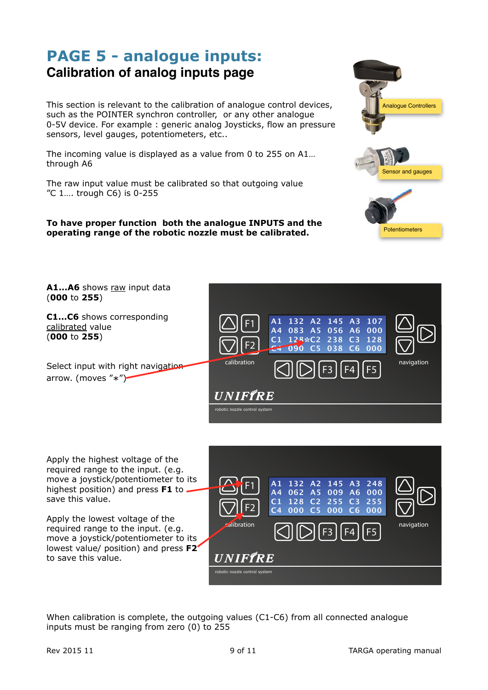### **PAGE 5 - analogue inputs: Calibration of analog inputs page**

This section is relevant to the calibration of analogue control devices, such as the POINTER synchron controller, or any other analogue 0-5V device. For example : generic analog Joysticks, flow an pressure sensors, level gauges, potentiometers, etc..

The incoming value is displayed as a value from 0 to 255 on A1… through A6

The raw input value must be calibrated so that outgoing value "C 1…. trough C6) is 0-255

#### **To have proper function both the analogue INPUTS and the operating range of the robotic nozzle must be calibrated.**



Apply the highest voltage of the required range to the input. (e.g. move a joystick/potentiometer to its highest position) and press **F1** to save this value.

Apply the lowest voltage of the required range to the input. (e.g. move a joystick/potentiometer to its lowest value/ position) and press **F2** to save this value.



When calibration is complete, the outgoing values (C1-C6) from all connected analogue inputs must be ranging from zero (0) to 255

Analogue Controllers

Sensor and gauges

Potentiometers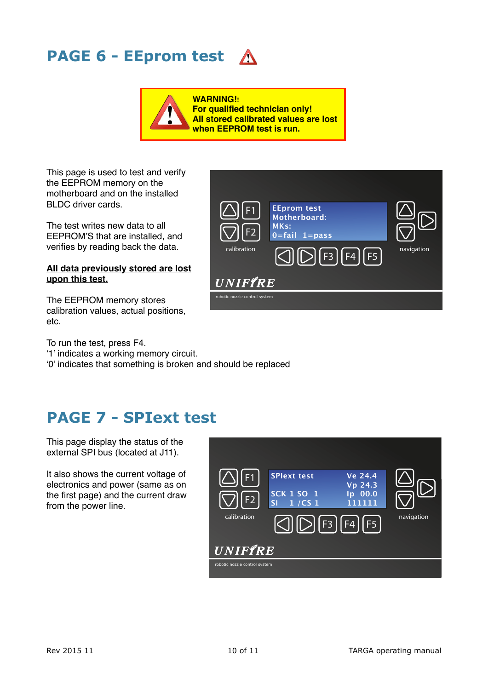# **PAGE 6 - EEprom test**

**WARNING!! For qualified technician only! All stored calibrated values are lost when EEPROM test is run.**

This page is used to test and verify the EEPROM memory on the motherboard and on the installed BLDC driver cards.

The test writes new data to all EEPROM'S that are installed, and verifies by reading back the data.

#### **All data previously stored are lost upon this test.**

The EEPROM memory stores calibration values, actual positions, etc.

To run the test, press F4.

'1' indicates a working memory circuit.

'0' indicates that something is broken and should be replaced

# **PAGE 7 - SPIext test**

This page display the status of the external SPI bus (located at J11).

It also shows the current voltage of electronics and power (same as on the first page) and the current draw from the power line.